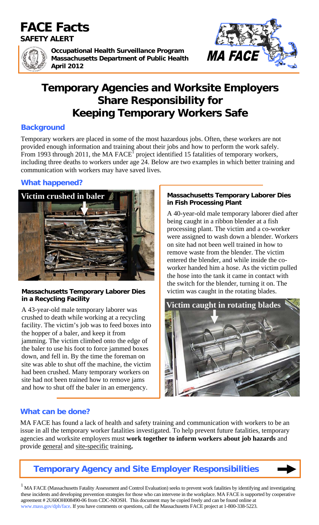# **FACE Facts**

**SAFETY ALERT** 



**Occupational Health Surveillance Program Massachusetts Department of Public Health April 2012** 



# **Temporary Agencies and Worksite Employers Share Responsibility for Keeping Temporary Workers Safe**

## **Background**

Temporary workers are placed in some of the most hazardous jobs. Often, these workers are not provided enough information and training about their jobs and how to perform the work safely. From 1993 through 2011, the MA  $FACE^1$  project identified 15 fatalities of temporary workers, including three deaths to workers under age 24. Below are two examples in which better training and communication with workers may have saved lives.

## **What happened?**



## **Massachusetts Temporary Laborer Dies** victim was caught in the rotating blades. **in a Recycling Facility**

A 43-year-old male temporary laborer was crushed to death while working at a recycling facility. The victim's job was to feed boxes into the hopper of a baler, and keep it from jamming. The victim climbed onto the edge of the baler to use his foot to force jammed boxes down, and fell in. By the time the foreman on site was able to shut off the machine, the victim had been crushed. Many temporary workers on site had not been trained how to remove jams and how to shut off the baler in an emergency.

### **Massachusetts Temporary Laborer Dies in Fish Processing Plant**

A 40-year-old male temporary laborer died after being caught in a ribbon blender at a fish processing plant. The victim and a co-worker were assigned to wash down a blender. Workers on site had not been well trained in how to remove waste from the blender. The victim entered the blender, and while inside the coworker handed him a hose. As the victim pulled the hose into the tank it came in contact with the switch for the blender, turning it on. The



# **What can be done?**

MA FACE has found a lack of health and safety training and communication with workers to be an issue in all the temporary worker fatalities investigated. To help prevent future fatalities, temporary agencies and worksite employers must **work together to inform workers about job hazards** and provide general and site-specific training**.** 





<sup>1</sup> MA FACE (Massachusetts Fatality Assessment and Control Evaluation) seeks to prevent work fatalities by identifying and investigating these incidents and developing prevention strategies for those who can intervene in the workplace. MA FACE is supported by cooperative agreement # 2U60OH008490-06 from CDC-NIOSH. This document may be copied freely and can be found online at www.mass.gov/dph/face. If you have comments or questions, call the Massachusetts FACE project at 1-800-338-5223.